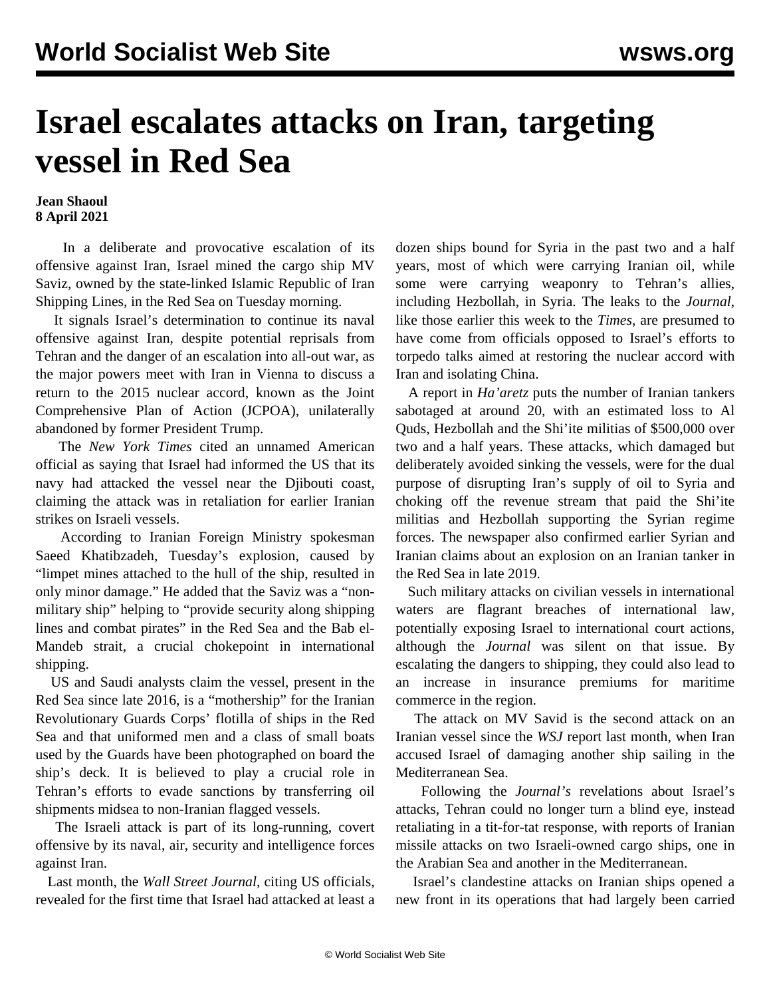## **Israel escalates attacks on Iran, targeting vessel in Red Sea**

## **Jean Shaoul 8 April 2021**

 In a deliberate and provocative escalation of its offensive against Iran, Israel mined the cargo ship MV Saviz, owned by the state-linked Islamic Republic of Iran Shipping Lines, in the Red Sea on Tuesday morning.

 It signals Israel's determination to continue its naval offensive against Iran, despite potential reprisals from Tehran and the danger of an escalation into all-out war, as the major powers meet with Iran in Vienna to discuss a return to the 2015 nuclear accord, known as the Joint Comprehensive Plan of Action (JCPOA), unilaterally abandoned by former President Trump.

 The *New York Times* cited an unnamed American official as saying that Israel had informed the US that its navy had attacked the vessel near the Djibouti coast, claiming the attack was in retaliation for earlier Iranian strikes on Israeli vessels.

 According to Iranian Foreign Ministry spokesman Saeed Khatibzadeh, Tuesday's explosion, caused by "limpet mines attached to the hull of the ship, resulted in only minor damage." He added that the Saviz was a "nonmilitary ship" helping to "provide security along shipping lines and combat pirates" in the Red Sea and the Bab el-Mandeb strait, a crucial chokepoint in international shipping.

 US and Saudi analysts claim the vessel, present in the Red Sea since late 2016, is a "mothership" for the Iranian Revolutionary Guards Corps' flotilla of ships in the Red Sea and that uniformed men and a class of small boats used by the Guards have been photographed on board the ship's deck. It is believed to play a crucial role in Tehran's efforts to evade sanctions by transferring oil shipments midsea to non-Iranian flagged vessels.

 The Israeli attack is part of its long-running, covert offensive by its naval, air, security and intelligence forces against Iran.

 Last month, the *Wall Street Journal,* citing US officials, revealed for the first time that Israel had attacked at least a dozen ships bound for Syria in the past two and a half years, most of which were carrying Iranian oil, while some were carrying weaponry to Tehran's allies, including Hezbollah, in Syria. The leaks to the *Journal*, like those earlier this week to the *Times*, are presumed to have come from officials opposed to Israel's efforts to torpedo talks aimed at restoring the nuclear accord with Iran and isolating China.

 A report in *Ha'aretz* puts the number of Iranian tankers sabotaged at around 20, with an estimated loss to Al Quds, Hezbollah and the Shi'ite militias of \$500,000 over two and a half years. These attacks, which damaged but deliberately avoided sinking the vessels, were for the dual purpose of disrupting Iran's supply of oil to Syria and choking off the revenue stream that paid the Shi'ite militias and Hezbollah supporting the Syrian regime forces. The newspaper also confirmed earlier Syrian and Iranian claims about an explosion on an Iranian tanker in the Red Sea in late 2019.

 Such military attacks on civilian vessels in international waters are flagrant breaches of international law, potentially exposing Israel to international court actions, although the *Journal* was silent on that issue. By escalating the dangers to shipping, they could also lead to an increase in insurance premiums for maritime commerce in the region.

 The attack on MV Savid is the second attack on an Iranian vessel since the *WSJ* report last month, when Iran accused Israel of damaging another ship sailing in the Mediterranean Sea.

 Following the *Journal's* revelations about Israel's attacks, Tehran could no longer turn a blind eye, instead retaliating in a tit-for-tat response, with reports of Iranian missile attacks on two Israeli-owned cargo ships, one in the Arabian Sea and another in the Mediterranean.

 Israel's clandestine attacks on Iranian ships opened a new front in its operations that had largely been carried